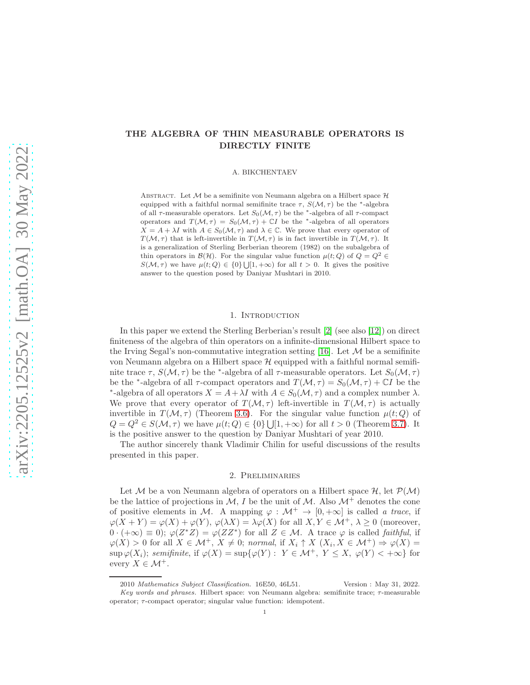# THE ALGEBRA OF THIN MEASURABLE OPERATORS IS DIRECTLY FINITE

A. BIKCHENTAEV

ABSTRACT. Let  $M$  be a semifinite von Neumann algebra on a Hilbert space  $H$ equipped with a faithful normal semifinite trace  $\tau$ ,  $S(\mathcal{M}, \tau)$  be the <sup>\*</sup>-algebra of all  $\tau$ -measurable operators. Let  $S_0(\mathcal{M}, \tau)$  be the <sup>\*</sup>-algebra of all  $\tau$ -compact operators and  $T(M, \tau) = S_0(M, \tau) + \mathbb{C}I$  be the \*-algebra of all operators  $X = A + \lambda I$  with  $A \in S_0(\mathcal{M}, \tau)$  and  $\lambda \in \mathbb{C}$ . We prove that every operator of  $T(\mathcal{M}, \tau)$  that is left-invertible in  $T(\mathcal{M}, \tau)$  is in fact invertible in  $T(\mathcal{M}, \tau)$ . It is a generalization of Sterling Berberian theorem (1982) on the subalgebra of thin operators in  $\mathcal{B}(\mathcal{H})$ . For the singular value function  $\mu(t; Q)$  of  $Q = Q^2 \in$  $S(\mathcal{M}, \tau)$  we have  $\mu(t; Q) \in \{0\} \cup [1, +\infty)$  for all  $t > 0$ . It gives the positive answer to the question posed by Daniyar Mushtari in 2010.

#### 1. INTRODUCTION

In this paper we extend the Sterling Berberian's result [\[2\]](#page-4-0) (see also [\[12\]](#page-4-1)) on direct finiteness of the algebra of thin operators on a infinite-dimensional Hilbert space to the Irving Segal's non-commutative integration setting [\[16\]](#page-4-2). Let  $\mathcal M$  be a semifinite von Neumann algebra on a Hilbert space  $\mathcal H$  equipped with a faithful normal semifinite trace  $\tau$ ,  $S(\mathcal{M}, \tau)$  be the <sup>\*</sup>-algebra of all  $\tau$ -measurable operators. Let  $S_0(\mathcal{M}, \tau)$ be the <sup>∗</sup>-algebra of all  $\tau$ -compact operators and  $T(\mathcal{M}, \tau) = S_0(\mathcal{M}, \tau) + \mathbb{C}I$  be the \*-algebra of all operators  $X = A + \lambda I$  with  $A \in S_0(\mathcal{M}, \tau)$  and a complex number  $\lambda$ . We prove that every operator of  $T(M, \tau)$  left-invertible in  $T(M, \tau)$  is actually invertible in  $T(M, \tau)$  (Theorem [3.6\)](#page-2-0). For the singular value function  $\mu(t; Q)$  of  $Q = Q^2 \in S(\mathcal{M}, \tau)$  we have  $\mu(t; Q) \in \{0\} \cup [1, +\infty)$  for all  $t > 0$  (Theorem [3.7\)](#page-3-0). It is the positive answer to the question by Daniyar Mushtari of year 2010.

The author sincerely thank Vladimir Chilin for useful discussions of the results presented in this paper.

### 2. Preliminaries

Let M be a von Neumann algebra of operators on a Hilbert space  $\mathcal{H}$ , let  $\mathcal{P}(\mathcal{M})$ be the lattice of projections in M, I be the unit of M. Also  $\mathcal{M}^+$  denotes the cone of positive elements in M. A mapping  $\varphi : \mathcal{M}^+ \to [0, +\infty]$  is called a trace, if  $\varphi(X+Y) = \varphi(X) + \varphi(Y), \varphi(\lambda X) = \lambda \varphi(X)$  for all  $X, Y \in \mathcal{M}^+, \lambda \geq 0$  (moreover,  $0 \cdot (+\infty) \equiv 0$ ;  $\varphi(Z^*Z) = \varphi(ZZ^*)$  for all  $Z \in \mathcal{M}$ . A trace  $\varphi$  is called *faithful*, if  $\varphi(X) > 0$  for all  $X \in \mathcal{M}^+, X \neq 0$ ; normal, if  $X_i \uparrow X$   $(X_i, X \in \mathcal{M}^+) \Rightarrow \varphi(X) =$  $\sup \varphi(X_i)$ ; semifinite, if  $\varphi(X) = \sup \{ \varphi(Y) : Y \in \mathcal{M}^+, Y \leq X, \varphi(Y) < +\infty \}$  for every  $X \in \mathcal{M}^+$ .

<sup>2010</sup> Mathematics Subject Classification. 16E50, 46L51. Version : May 31, 2022. Key words and phrases. Hilbert space: von Neumann algebra: semifinite trace;  $\tau$ -measurable operator; τ-compact operator; singular value function: idempotent.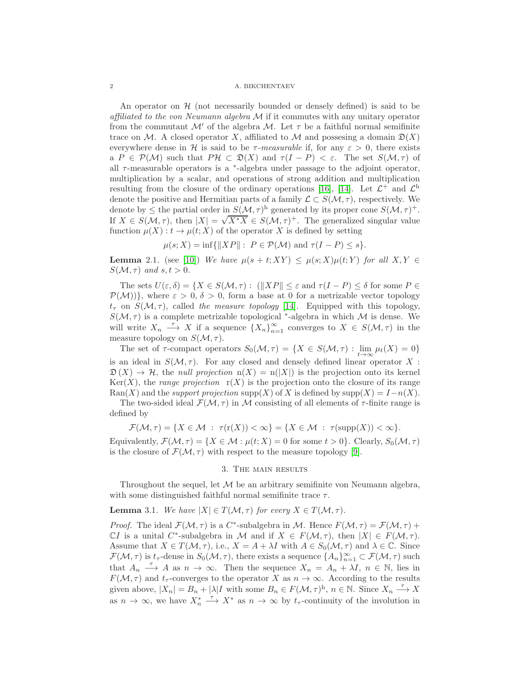#### 2 A. BIKCHENTAEV

An operator on  $H$  (not necessarily bounded or densely defined) is said to be affiliated to the von Neumann algebra  $\mathcal M$  if it commutes with any unitary operator from the commutant  $\mathcal{M}'$  of the algebra  $\mathcal{M}$ . Let  $\tau$  be a faithful normal semifinite trace on M. A closed operator X, affiliated to M and possesing a domain  $\mathfrak{D}(X)$ everywhere dense in H is said to be  $\tau$ -measurable if, for any  $\varepsilon > 0$ , there exists a  $P \in \mathcal{P}(\mathcal{M})$  such that  $P\mathcal{H} \subset \mathfrak{D}(X)$  and  $\tau(I - P) < \varepsilon$ . The set  $S(\mathcal{M}, \tau)$  of all  $\tau$ -measurable operators is a  $*$ -algebra under passage to the adjoint operator, multiplication by a scalar, and operations of strong addition and multiplication resulting from the closure of the ordinary operations [\[16\]](#page-4-2), [\[14\]](#page-4-3). Let  $\mathcal{L}^+$  and  $\mathcal{L}^{\text{h}}$ denote the positive and Hermitian parts of a family  $\mathcal{L} \subset S(\mathcal{M}, \tau)$ , respectively. We denote by  $\leq$  the partial order in  $S(\mathcal{M}, \tau)^{h}$  generated by its proper cone  $S(\mathcal{M}, \tau)^{+}$ . If  $X \in S(\mathcal{M}, \tau)$ , then  $|X| = \sqrt{X^*X} \in S(\mathcal{M}, \tau)^+$ . The generalized singular value function  $\mu(X): t \to \mu(t; X)$  of the operator X is defined by setting

 $\mu(s; X) = \inf \{||XP||: P \in \mathcal{P}(\mathcal{M}) \text{ and } \tau(I - P) \leq s \}.$ 

<span id="page-1-1"></span>**Lemma** 2.1. (see [\[10\]](#page-4-4)) We have  $\mu(s+t;XY) \leq \mu(s;X)\mu(t;Y)$  for all  $X,Y \in$  $S(\mathcal{M}, \tau)$  and  $s, t > 0$ .

The sets  $U(\varepsilon, \delta) = \{X \in S(\mathcal{M}, \tau) : |||XP|| \leq \varepsilon \text{ and } \tau(I - P) \leq \delta \text{ for some } P \in \mathcal{M}(\varepsilon) \}$  $\mathcal{P}(\mathcal{M})$ }, where  $\varepsilon > 0$ ,  $\delta > 0$ , form a base at 0 for a metrizable vector topology  $t_{\tau}$  on  $S(\mathcal{M}, \tau)$ , called the measure topology [\[14\]](#page-4-3). Equipped with this topology,  $S(\mathcal{M}, \tau)$  is a complete metrizable topological <sup>\*</sup>-algebra in which  $\mathcal M$  is dense. We will write  $X_n \stackrel{\tau}{\longrightarrow} X$  if a sequence  $\{X_n\}_{n=1}^{\infty}$  converges to  $X \in S(\mathcal{M}, \tau)$  in the measure topology on  $S(\mathcal{M}, \tau)$ .

The set of  $\tau$ -compact operators  $S_0(\mathcal{M}, \tau) = \{X \in S(\mathcal{M}, \tau) : \lim_{t \to \infty} \mu_t(X) = 0\}$ is an ideal in  $S(\mathcal{M}, \tau)$ . For any closed and densely defined linear operator X:  $\mathfrak{D}(X) \to \mathcal{H}$ , the null projection  $n(X) = n(|X|)$  is the projection onto its kernel  $\text{Ker}(X)$ , the *range projection*  $r(X)$  is the projection onto the closure of its range Ran(X) and the support projection supp(X) of X is defined by supp(X) =  $I-n(X)$ .

The two-sided ideal  $\mathcal{F}(\mathcal{M}, \tau)$  in M consisting of all elements of  $\tau$ -finite range is defined by

$$
\mathcal{F}(\mathcal{M},\tau) = \{ X \in \mathcal{M} : \tau(\mathbf{r}(X)) < \infty \} = \{ X \in \mathcal{M} : \tau(\mathrm{supp}(X)) < \infty \}.
$$

Equivalently,  $\mathcal{F}(\mathcal{M}, \tau) = \{X \in \mathcal{M} : \mu(t; X) = 0 \text{ for some } t > 0\}.$  Clearly,  $S_0(\mathcal{M}, \tau)$ is the closure of  $\mathcal{F}(\mathcal{M}, \tau)$  with respect to the measure topology [\[9\]](#page-4-5).

## 3. The main results

Throughout the sequel, let  $M$  be an arbitrary semifinite von Neumann algebra, with some distinguished faithful normal semifinite trace  $\tau$ .

<span id="page-1-0"></span>**Lemma** 3.1. We have  $|X| \in T(\mathcal{M}, \tau)$  for every  $X \in T(\mathcal{M}, \tau)$ .

*Proof.* The ideal  $\mathcal{F}(\mathcal{M}, \tau)$  is a  $C^*$ -subalgebra in  $\mathcal{M}$ . Hence  $F(\mathcal{M}, \tau) = \mathcal{F}(\mathcal{M}, \tau) +$ CI is a unital C<sup>\*</sup>-subalgebra in M and if  $X \in F(\mathcal{M}, \tau)$ , then  $|X| \in F(\mathcal{M}, \tau)$ . Assume that  $X \in T(\mathcal{M}, \tau)$ , i.e.,  $X = A + \lambda I$  with  $A \in S_0(\mathcal{M}, \tau)$  and  $\lambda \in \mathbb{C}$ . Since  $\mathcal{F}(\mathcal{M}, \tau)$  is  $t_{\tau}$ -dense in  $S_0(\mathcal{M}, \tau)$ , there exists a sequence  $\{A_n\}_{n=1}^{\infty} \subset \mathcal{F}(\mathcal{M}, \tau)$  such that  $A_n \longrightarrow A$  as  $n \to \infty$ . Then the sequence  $X_n = A_n + \lambda I$ ,  $n \in \mathbb{N}$ , lies in  $F(\mathcal{M}, \tau)$  and  $t_{\tau}$ -converges to the operator X as  $n \to \infty$ . According to the results given above,  $|X_n| = B_n + |\lambda| I$  with some  $B_n \in F(\mathcal{M}, \tau)^h$ ,  $n \in \mathbb{N}$ . Since  $X_n \xrightarrow{\tau} X$ as  $n \to \infty$ , we have  $X_n^* \xrightarrow{\tau} X^*$  as  $n \to \infty$  by  $t_\tau$ -continuity of the involution in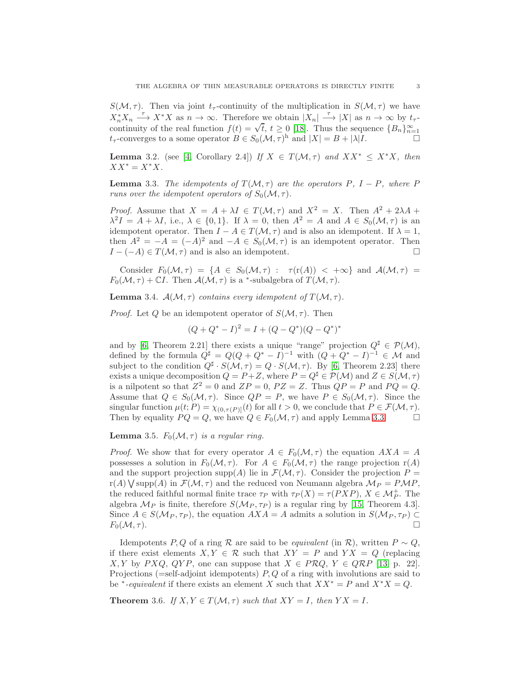$S(\mathcal{M}, \tau)$ . Then via joint t<sub>r</sub>-continuity of the multiplication in  $S(\mathcal{M}, \tau)$  we have  $X_n^* X_n \longrightarrow X^* X$  as  $n \to \infty$ . Therefore we obtain  $|X_n| \longrightarrow |X|$  as  $n \to \infty$  by  $t_\tau$ continuity of the real function  $f(t) = \sqrt{t}$ ,  $t \ge 0$  [\[18\]](#page-4-6). Thus the sequence  ${B_n}_{n=1}^{\infty}$  $t_{\tau}$ -converges to a some operator  $B \in S_0(\mathcal{M}, \tau)^{\text{h}}$  and  $|X| = B + |\lambda|I$ .

<span id="page-2-4"></span>**Lemma** 3.2. (see [\[4,](#page-4-7) Corollary 2.4]) If  $X \in T(M, \tau)$  and  $XX^* \leq X^*X$ , then  $XX^* = X^*X$ .

<span id="page-2-1"></span>**Lemma** 3.3. The idempotents of  $T(M, \tau)$  are the operators P, I – P, where P runs over the idempotent operators of  $S_0(\mathcal{M}, \tau)$ .

*Proof.* Assume that  $X = A + \lambda I \in T(\mathcal{M}, \tau)$  and  $X^2 = X$ . Then  $A^2 + 2\lambda A +$  $\lambda^2 I = A + \lambda I$ , i.e.,  $\lambda \in \{0, 1\}$ . If  $\lambda = 0$ , then  $A^2 = A$  and  $A \in S_0(\mathcal{M}, \tau)$  is an idempotent operator. Then  $I - A \in T(M, \tau)$  and is also an idempotent. If  $\lambda = 1$ , then  $A^2 = -A = (-A)^2$  and  $-A \in S_0(\mathcal{M}, \tau)$  is an idempotent operator. Then  $I - (-A) \in T(\mathcal{M}, \tau)$  and is also an idempotent.

Consider  $F_0(\mathcal{M}, \tau) = \{A \in S_0(\mathcal{M}, \tau) : \tau(\text{r}(A)) < +\infty\}$  and  $\mathcal{A}(\mathcal{M}, \tau) =$  $F_0(\mathcal{M}, \tau) + \mathbb{C}I$ . Then  $\mathcal{A}(\mathcal{M}, \tau)$  is a <sup>\*</sup>-subalgebra of  $T(\mathcal{M}, \tau)$ .

<span id="page-2-3"></span>**Lemma** 3.4.  $\mathcal{A}(\mathcal{M}, \tau)$  contains every idempotent of  $T(\mathcal{M}, \tau)$ .

*Proof.* Let Q be an idempotent operator of  $S(\mathcal{M}, \tau)$ . Then

$$
(Q + Q^* - I)^2 = I + (Q - Q^*)(Q - Q^*)^*
$$

and by [\[6,](#page-4-8) Theorem 2.21] there exists a unique "range" projection  $Q^{\sharp} \in \mathcal{P}(\mathcal{M})$ , defined by the formula  $Q^{\sharp} = Q(Q + Q^* - I)^{-1}$  with  $(Q + Q^* - I)^{-1} \in \mathcal{M}$  and subject to the condition  $Q^{\sharp} \cdot S(\mathcal{M}, \tau) = Q \cdot S(\mathcal{M}, \tau)$ . By [\[6,](#page-4-8) Theorem 2.23] there exists a unique decomposition  $Q = P + Z$ , where  $P = Q^{\sharp} \in \mathcal{P}(\mathcal{M})$  and  $Z \in S(\mathcal{M}, \tau)$ is a nilpotent so that  $Z^2 = 0$  and  $ZP = 0$ ,  $PZ = Z$ . Thus  $QP = P$  and  $PQ = Q$ . Assume that  $Q \in S_0(\mathcal{M}, \tau)$ . Since  $QP = P$ , we have  $P \in S_0(\mathcal{M}, \tau)$ . Since the singular function  $\mu(t; P) = \chi_{(0, \tau(P)]}(t)$  for all  $t > 0$ , we conclude that  $P \in \mathcal{F}(\mathcal{M}, \tau)$ .<br>Then by equality  $PQ = Q$ , we have  $Q \in F_0(\mathcal{M}, \tau)$  and apply Lemma 3.3. Then by equality  $PQ = Q$ , we have  $Q \in F_0(\mathcal{M}, \tau)$  and apply Lemma [3.3.](#page-2-1)

## <span id="page-2-2"></span>**Lemma** 3.5.  $F_0(\mathcal{M}, \tau)$  is a regular ring.

*Proof.* We show that for every operator  $A \in F_0(\mathcal{M}, \tau)$  the equation  $AXA = A$ possesses a solution in  $F_0(\mathcal{M}, \tau)$ . For  $A \in F_0(\mathcal{M}, \tau)$  the range projection  $r(A)$ and the support projection  $\text{supp}(A)$  lie in  $\mathcal{F}(\mathcal{M}, \tau)$ . Consider the projection  $P =$  $r(A) \bigvee \text{supp}(A)$  in  $\mathcal{F}(\mathcal{M}, \tau)$  and the reduced von Neumann algebra  $\mathcal{M}_P = P\mathcal{M}P$ , the reduced faithful normal finite trace  $\tau_P$  with  $\tau_P(X) = \tau(PXP)$ ,  $X \in \mathcal{M}_P^+$ . The algebra  $\mathcal{M}_P$  is finite, therefore  $S(\mathcal{M}_P, \tau_P)$  is a regular ring by [\[15,](#page-4-9) Theorem 4.3]. Since  $A \in S(\mathcal{M}_P, \tau_P)$ , the equation  $AXA = A$  admits a solution in  $S(\mathcal{M}_P, \tau_P) \subset F_0(\mathcal{M}, \tau)$ .  $F_0(\mathcal{M}, \tau).$ 

Idempotents P, Q of a ring R are said to be *equivalent* (in R), written  $P \sim Q$ , if there exist elements  $X, Y \in \mathcal{R}$  such that  $XY = P$  and  $YX = Q$  (replacing  $X, Y$  by PXQ, QYP, one can suppose that  $X \in PRQ$ ,  $Y \in QRP$  [\[13,](#page-4-10) p. 22]. Projections (=self-adjoint idempotents)  $P, Q$  of a ring with involutions are said to be <sup>\*</sup>-equivalent if there exists an element X such that  $XX^* = P$  and  $X^*X = Q$ .

<span id="page-2-0"></span>**Theorem** 3.6. If  $X, Y \in T(M, \tau)$  such that  $XY = I$ , then  $YX = I$ .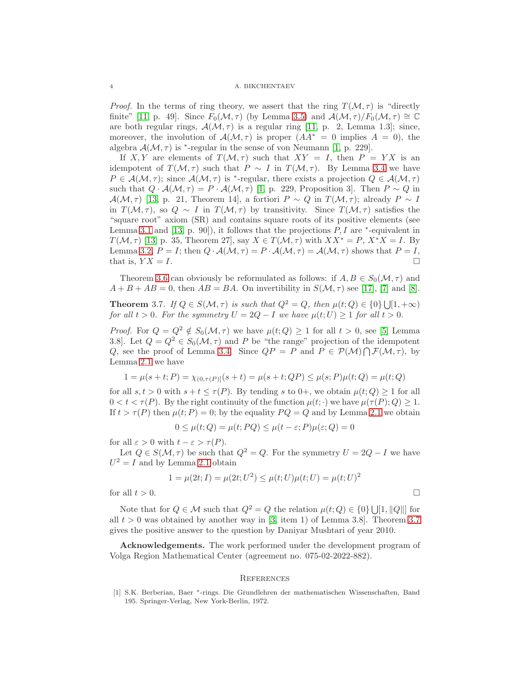*Proof.* In the terms of ring theory, we assert that the ring  $T(M, \tau)$  is "directly finite" [\[11,](#page-4-11) p. 49]. Since  $F_0(\mathcal{M}, \tau)$  (by Lemma [3.5\)](#page-2-2) and  $\mathcal{A}(\mathcal{M}, \tau)/F_0(\mathcal{M}, \tau) \cong \mathbb{C}$ are both regular rings,  $\mathcal{A}(\mathcal{M}, \tau)$  is a regular ring [\[11,](#page-4-11) p. 2, Lemma 1.3]; since, moreover, the involution of  $\mathcal{A}(\mathcal{M}, \tau)$  is proper  $(AA^* = 0$  implies  $A = 0$ , the algebra  $\mathcal{A}(\mathcal{M}, \tau)$  is \*-regular in the sense of von Neumann [\[1,](#page-3-1) p. 229].

If X, Y are elements of  $T(M, \tau)$  such that  $XY = I$ , then  $P = YX$  is an idempotent of  $T(M, \tau)$  such that  $P \sim I$  in  $T(M, \tau)$ . By Lemma [3.4](#page-2-3) we have  $P \in \mathcal{A}(\mathcal{M}, \tau)$ ; since  $\mathcal{A}(\mathcal{M}, \tau)$  is <sup>\*</sup>-regular, there exists a projection  $Q \in \mathcal{A}(\mathcal{M}, \tau)$ such that  $Q \cdot A(\mathcal{M}, \tau) = P \cdot A(\mathcal{M}, \tau)$  [\[1,](#page-3-1) p. 229, Proposition 3]. Then  $P \sim Q$  in  $\mathcal{A}(\mathcal{M}, \tau)$  [\[13,](#page-4-10) p. 21, Theorem 14], a fortiori  $P \sim Q$  in  $T(\mathcal{M}, \tau)$ ; already  $P \sim I$ in  $T(M, \tau)$ , so  $Q \sim I$  in  $T(M, \tau)$  by transitivity. Since  $T(M, \tau)$  satisfies the "square root" axiom (SR) and contains square roots of its positive elements (see Lemma [3.1](#page-1-0) and [\[13,](#page-4-10) p. 90]), it follows that the projections  $P, I$  are  $*$ -equivalent in  $T(\mathcal{M}, \tau)$  [\[13,](#page-4-10) p. 35, Theorem 27], say  $X \in T(\mathcal{M}, \tau)$  with  $XX^* = P$ ,  $X^*X = I$ . By Lemma [3.2,](#page-2-4)  $P = I$ ; then  $Q \cdot A(\mathcal{M}, \tau) = P \cdot A(\mathcal{M}, \tau) = A(\mathcal{M}, \tau)$  shows that  $P = I$ , that is,  $YX = I$ . that is,  $Y X = I$ .

Theorem [3.6](#page-2-0) can obviously be reformulated as follows: if  $A, B \in S_0(\mathcal{M}, \tau)$  and  $A + B + AB = 0$ , then  $AB = BA$ . On invertibility in  $S(\mathcal{M}, \tau)$  see [\[17\]](#page-4-12), [\[7\]](#page-4-13) and [\[8\]](#page-4-14).

<span id="page-3-0"></span>**Theorem** 3.7. If  $Q \in S(\mathcal{M}, \tau)$  is such that  $Q^2 = Q$ , then  $\mu(t; Q) \in \{0\} \cup [1, +\infty)$ for all  $t > 0$ . For the symmetry  $U = 2Q - I$  we have  $\mu(t; U) > 1$  for all  $t > 0$ .

*Proof.* For  $Q = Q^2 \notin S_0(\mathcal{M}, \tau)$  we have  $\mu(t; Q) \geq 1$  for all  $t > 0$ , see [\[5,](#page-4-15) Lemma 3.8]. Let  $Q = Q^2 \in S_0(\mathcal{M}, \tau)$  and P be "the range" projection of the idempotent Q, see the proof of Lemma [3.4.](#page-2-3) Since  $QP = P$  and  $P \in \mathcal{P}(\mathcal{M}) \cap \mathcal{F}(\mathcal{M}, \tau)$ , by Lemma [2.1](#page-1-1) we have

$$
1 = \mu(s+t; P) = \chi_{(0, \tau(P))}(s+t) = \mu(s+t; QP) \leq \mu(s; P)\mu(t; Q) = \mu(t; Q)
$$

for all  $s, t > 0$  with  $s + t \leq \tau(P)$ . By tending s to 0+, we obtain  $\mu(t; Q) > 1$  for all  $0 < t < \tau(P)$ . By the right continuity of the function  $\mu(t; \cdot)$  we have  $\mu(\tau(P); Q) \geq 1$ . If  $t > \tau(P)$  then  $\mu(t; P) = 0$ ; by the equality  $PQ = Q$  and by Lemma [2.1](#page-1-1) we obtain

$$
0 \le \mu(t; Q) = \mu(t; PQ) \le \mu(t - \varepsilon; P)\mu(\varepsilon; Q) = 0
$$

for all  $\varepsilon > 0$  with  $t - \varepsilon > \tau(P)$ .

Let  $Q \in S(\mathcal{M}, \tau)$  be such that  $Q^2 = Q$ . For the symmetry  $U = 2Q - I$  we have  $U^2 = I$  and by Lemma [2.1](#page-1-1) obtain

$$
1 = \mu(2t; I) = \mu(2t; U^2) \le \mu(t; U)\mu(t; U) = \mu(t; U)^2
$$
  
for all  $t > 0$ .

Note that for  $Q \in \mathcal{M}$  such that  $Q^2 = Q$  the relation  $\mu(t; Q) \in \{0\} \cup [1, ||Q||]$  for all  $t > 0$  was obtained by another way in [\[3,](#page-4-16) item 1] of Lemma 3.8]. Theorem [3.7](#page-3-0) gives the positive answer to the question by Daniyar Mushtari of year 2010.

Acknowledgements. The work performed under the development program of Volga Region Mathematical Center (agreement no. 075-02-2022-882).

#### **REFERENCES**

<span id="page-3-1"></span>[1] S.K. Berberian, Baer <sup>∗</sup> -rings. Die Grundlehren der mathematischen Wissenschaften, Band 195. Springer-Verlag, New York-Berlin, 1972.

$$
\mathbf{r}^{\prime}
$$